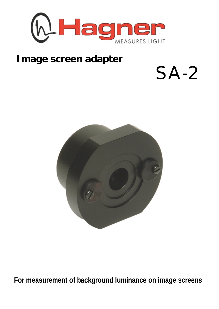

## **Image screen adapter**





**For measurement of background luminance on image screens**